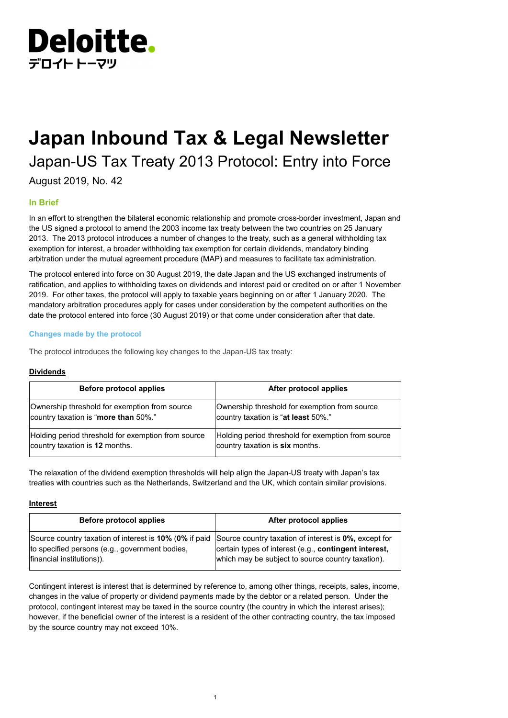

# **Japan Inbound Tax & Legal Newsletter**

Japan-US Tax Treaty 2013 Protocol: Entry into Force

August 2019, No. 42

# **In Brief**

In an effort to strengthen the bilateral economic relationship and promote cross-border investment, Japan and the US signed a protocol to amend the 2003 income tax treaty between the two countries on 25 January 2013. The 2013 protocol introduces a number of changes to the treaty, such as a general withholding tax exemption for interest, a broader withholding tax exemption for certain dividends, mandatory binding arbitration under the mutual agreement procedure (MAP) and measures to facilitate tax administration.

The protocol entered into force on 30 August 2019, the date Japan and the US exchanged instruments of ratification, and applies to withholding taxes on dividends and interest paid or credited on or after 1 November 2019. For other taxes, the protocol will apply to taxable years beginning on or after 1 January 2020. The mandatory arbitration procedures apply for cases under consideration by the competent authorities on the date the protocol entered into force (30 August 2019) or that come under consideration after that date.

# **Changes made by the protocol**

The protocol introduces the following key changes to the Japan-US tax treaty:

# **Dividends**

| Before protocol applies                            | After protocol applies                             |
|----------------------------------------------------|----------------------------------------------------|
| Ownership threshold for exemption from source      | Ownership threshold for exemption from source      |
| country taxation is "more than 50%."               | country taxation is "at least 50%."                |
| Holding period threshold for exemption from source | Holding period threshold for exemption from source |
| country taxation is 12 months.                     | country taxation is six months.                    |

The relaxation of the dividend exemption thresholds will help align the Japan-US treaty with Japan's tax treaties with countries such as the Netherlands, Switzerland and the UK, which contain similar provisions.

## **Interest**

| Before protocol applies                                                                                                                                                                     | After protocol applies                                                                                     |
|---------------------------------------------------------------------------------------------------------------------------------------------------------------------------------------------|------------------------------------------------------------------------------------------------------------|
| Source country taxation of interest is 10% (0% if paid Source country taxation of interest is 0%, except for<br>to specified persons (e.g., government bodies,<br>financial institutions)). | certain types of interest (e.g., contingent interest,<br>which may be subject to source country taxation). |

Contingent interest is interest that is determined by reference to, among other things, receipts, sales, income, changes in the value of property or dividend payments made by the debtor or a related person. Under the protocol, contingent interest may be taxed in the source country (the country in which the interest arises); however, if the beneficial owner of the interest is a resident of the other contracting country, the tax imposed by the source country may not exceed 10%.

1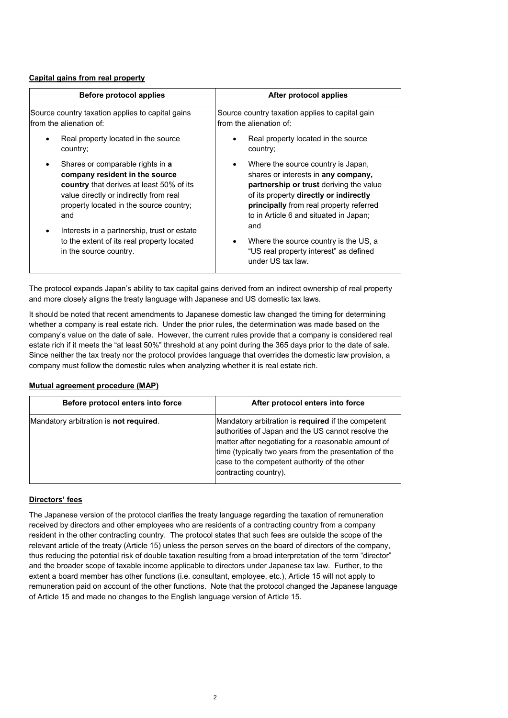#### **Capital gains from real property**

| <b>Before protocol applies</b>                                                                                                                                                                                    | After protocol applies                                                                                                                                                                                                                                          |
|-------------------------------------------------------------------------------------------------------------------------------------------------------------------------------------------------------------------|-----------------------------------------------------------------------------------------------------------------------------------------------------------------------------------------------------------------------------------------------------------------|
| Source country taxation applies to capital gains<br>Ifrom the alienation of:                                                                                                                                      | Source country taxation applies to capital gain<br>from the alienation of:                                                                                                                                                                                      |
| Real property located in the source<br>country;                                                                                                                                                                   | Real property located in the source<br>$\bullet$<br>country;                                                                                                                                                                                                    |
| Shares or comparable rights in a<br>company resident in the source<br><b>country</b> that derives at least 50% of its<br>value directly or indirectly from real<br>property located in the source country;<br>and | Where the source country is Japan,<br>٠<br>shares or interests in any company,<br>partnership or trust deriving the value<br>of its property directly or indirectly<br>principally from real property referred<br>to in Article 6 and situated in Japan;<br>and |
| Interests in a partnership, trust or estate<br>to the extent of its real property located<br>in the source country.                                                                                               | Where the source country is the US, a<br>٠<br>"US real property interest" as defined<br>under US tax law.                                                                                                                                                       |

The protocol expands Japan's ability to tax capital gains derived from an indirect ownership of real property and more closely aligns the treaty language with Japanese and US domestic tax laws.

It should be noted that recent amendments to Japanese domestic law changed the timing for determining whether a company is real estate rich. Under the prior rules, the determination was made based on the company's value on the date of sale. However, the current rules provide that a company is considered real estate rich if it meets the "at least 50%" threshold at any point during the 365 days prior to the date of sale. Since neither the tax treaty nor the protocol provides language that overrides the domestic law provision, a company must follow the domestic rules when analyzing whether it is real estate rich.

# **Mutual agreement procedure (MAP)**

| Before protocol enters into force              | After protocol enters into force                                                                                                                                                                                                                                                                   |
|------------------------------------------------|----------------------------------------------------------------------------------------------------------------------------------------------------------------------------------------------------------------------------------------------------------------------------------------------------|
| Mandatory arbitration is <b>not required</b> . | Mandatory arbitration is required if the competent<br>authorities of Japan and the US cannot resolve the<br>matter after negotiating for a reasonable amount of<br>time (typically two years from the presentation of the<br>case to the competent authority of the other<br>contracting country). |

## **Directors' fees**

The Japanese version of the protocol clarifies the treaty language regarding the taxation of remuneration received by directors and other employees who are residents of a contracting country from a company resident in the other contracting country. The protocol states that such fees are outside the scope of the relevant article of the treaty (Article 15) unless the person serves on the board of directors of the company, thus reducing the potential risk of double taxation resulting from a broad interpretation of the term "director" and the broader scope of taxable income applicable to directors under Japanese tax law. Further, to the extent a board member has other functions (i.e. consultant, employee, etc.), Article 15 will not apply to remuneration paid on account of the other functions. Note that the protocol changed the Japanese language of Article 15 and made no changes to the English language version of Article 15.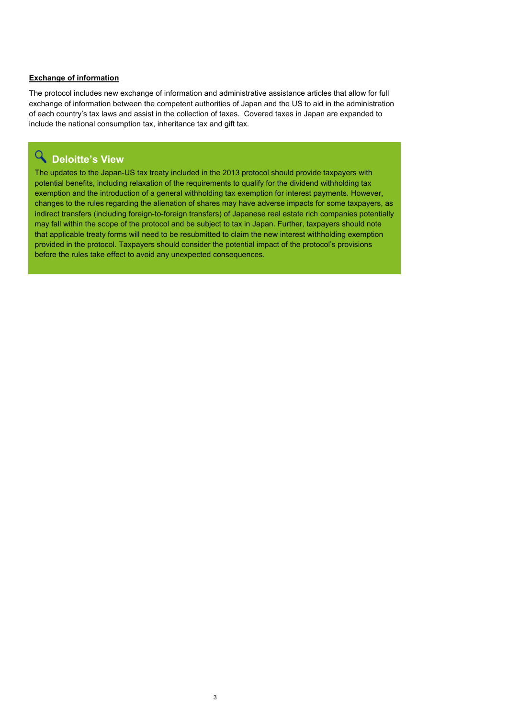#### **Exchange of information**

The protocol includes new exchange of information and administrative assistance articles that allow for full exchange of information between the competent authorities of Japan and the US to aid in the administration of each country's tax laws and assist in the collection of taxes. Covered taxes in Japan are expanded to include the national consumption tax, inheritance tax and gift tax.

# **Deloitte's View**

The updates to the Japan-US tax treaty included in the 2013 protocol should provide taxpayers with potential benefits, including relaxation of the requirements to qualify for the dividend withholding tax exemption and the introduction of a general withholding tax exemption for interest payments. However, changes to the rules regarding the alienation of shares may have adverse impacts for some taxpayers, as indirect transfers (including foreign-to-foreign transfers) of Japanese real estate rich companies potentially may fall within the scope of the protocol and be subject to tax in Japan. Further, taxpayers should note that applicable treaty forms will need to be resubmitted to claim the new interest withholding exemption provided in the protocol. Taxpayers should consider the potential impact of the protocol's provisions before the rules take effect to avoid any unexpected consequences.